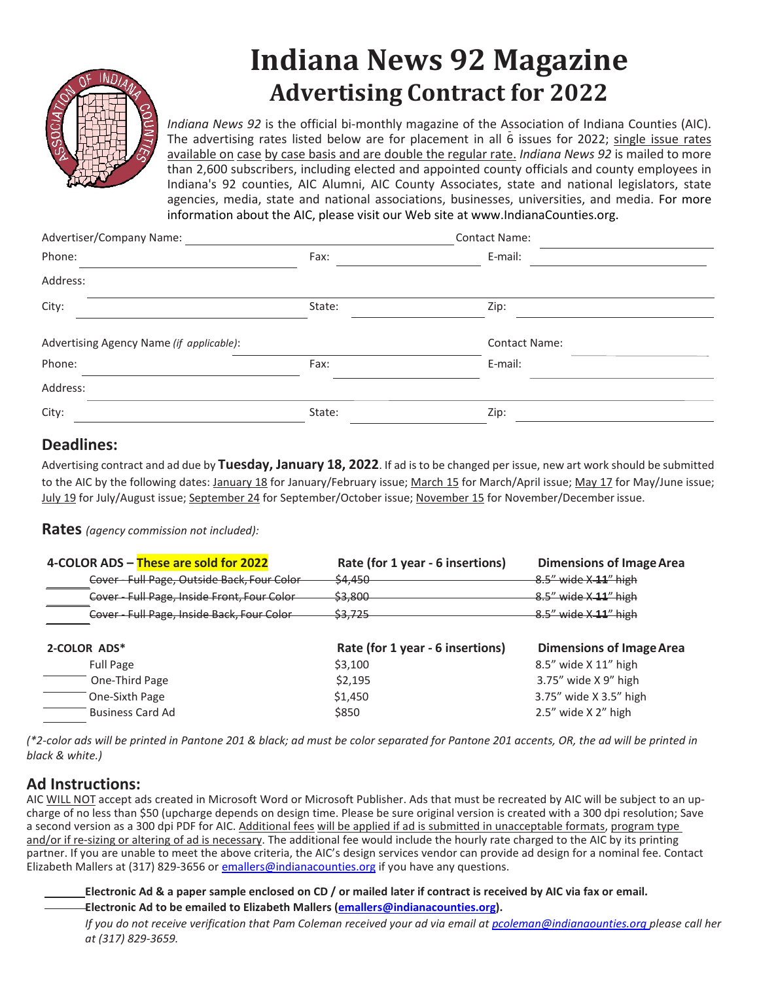

## **Indiana News 92 Magazine Advertising Contract for 2022**

*Indiana News 92* is the official bi-monthly magazine of the Association of Indiana Counties (AIC). The advertising rates listed below are for placement in all 6 issues for 2022; single issue rates available on case by case basis and are double the regular rate. *Indiana News 92* is mailed to more than 2,600 subscribers, including elected and appointed county officials and county employees in Indiana's 92 counties, AIC Alumni, AIC County Associates, state and national legislators, state agencies, media, state and national associations, businesses, universities, and media. For more information about the AIC, please visit our Web site at [www.IndianaCounties.org.](http://www.indianacounties.org/) 

| Advertiser/Company Name:                 |        | <b>Contact Name:</b> |  |
|------------------------------------------|--------|----------------------|--|
| Phone:                                   | Fax:   | E-mail:              |  |
| Address:                                 |        |                      |  |
| City:                                    | State: | Zip:                 |  |
| Advertising Agency Name (if applicable): |        | <b>Contact Name:</b> |  |
| Phone:                                   | Fax:   | E-mail:              |  |
| Address:                                 |        |                      |  |
| City:                                    | State: | Zip:                 |  |
|                                          |        |                      |  |

## **Deadlines:**

Advertising contract and ad due by **Tuesday, January 18, 2022**. If ad is to be changed per issue, new art work should be submitted to the AIC by the following dates: January 18 for January/February issue; March 15 for March/April issue; May 17 for May/June issue; July 19 for July/August issue; September 24 for September/October issue; November 15 for November/December issue.

**Rates** *(agency commission not included):*

| 4-COLOR ADS - These are sold for 2022       | Rate (for 1 year - 6 insertions) | <b>Dimensions of Image Area</b> |
|---------------------------------------------|----------------------------------|---------------------------------|
| Cover - Full Page, Outside Back, Four Color | \$4,450                          | 8.5" wide X 11" high            |
| Cover - Full Page, Inside Front, Four Color | \$3,800                          | 8.5" wide X 11" high            |
| Cover - Full Page, Inside Back, Four Color  | <del>\$3,725</del>               | 8.5" wide X 11" high            |
|                                             |                                  |                                 |
| 2-COLOR ADS*                                | Rate (for 1 year - 6 insertions) | <b>Dimensions of Image Area</b> |
| <b>Full Page</b>                            | \$3,100                          | 8.5" wide X 11" high            |
| One-Third Page                              | \$2,195                          | 3.75" wide X 9" high            |
| One-Sixth Page                              | \$1,450                          | 3.75" wide X 3.5" high          |

*(\*2-color ads will be printed in Pantone 201 & black; ad must be color separated for Pantone 201 accents, OR, the ad will be printed in black & white.)*

## **Ad Instructions:**

AIC WILL NOT accept ads created in Microsoft Word or Microsoft Publisher. Ads that must be recreated by AIC will be subject to an upcharge of no less than \$50 (upcharge depends on design time. Please be sure original version is created with a 300 dpi resolution; Save a second version as a 300 dpi PDF for AIC. Additional fees will be applied if ad is submitted in unacceptable formats, program type and/or if re-sizing or altering of ad is necessary. The additional fee would include the hourly rate charged to the AIC by its printing partner. If you are unable to meet the above criteria, the AIC's design services vendor can provide ad design for a nominal fee. Contact Elizabeth Mallers at (317) 829-3656 or [emallers@indianacounties.org](mailto:emallers@indianacounties.org) if you have any questions.

**Electronic Ad & a paper sample enclosed on CD / or mailed later if contract is received by AIC via fax or email. Electronic Ad to be emailed to Elizabeth Mallers [\(emallers@indianacounties.org\)](mailto:emallers@indianacounties.org).** 

*If you do not receive verification that Pam Coleman received your ad via email at [pcoleman@indianaounties.org p](mailto:pcoleman@indianaounties.org)lease call her at (317) 829-3659.*